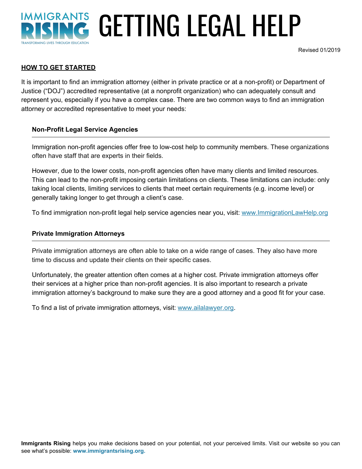# **IMMIGRANTS** GETTING LEGAL HELP **TRANSFORMING LIVES THROUGH EDUCATIC**

Revised 01/2019

#### **HOW TO GET STARTED**

It is important to find an immigration attorney (either in private practice or at a non-profit) or Department of Justice ("DOJ") accredited representative (at a nonprofit organization) who can adequately consult and represent you, especially if you have a complex case. There are two common ways to find an immigration attorney or accredited representative to meet your needs:

#### **Non-Profit Legal Service Agencies**

Immigration non-profit agencies offer free to low-cost help to community members. These organizations often have staff that are experts in their fields.

However, due to the lower costs, non-profit agencies often have many clients and limited resources. This can lead to the non-profit imposing certain limitations on clients. These limitations can include: only taking local clients, limiting services to clients that meet certain requirements (e.g. income level) or generally taking longer to get through a client's case.

To find immigration non-profit legal help service agencies near you, visit: [www.ImmigrationLawHelp.org](http://www.immigrationlawhelp.org/)

#### **Private Immigration Attorneys**

Private immigration attorneys are often able to take on a wide range of cases. They also have more time to discuss and update their clients on their specific cases.

Unfortunately, the greater attention often comes at a higher cost. Private immigration attorneys offer their services at a higher price than non-profit agencies. It is also important to research a private immigration attorney's background to make sure they are a good attorney and a good fit for your case.

To find a list of private immigration attorneys, visit: [www.ailalawyer.org](http://www.ailalawyer.org/).